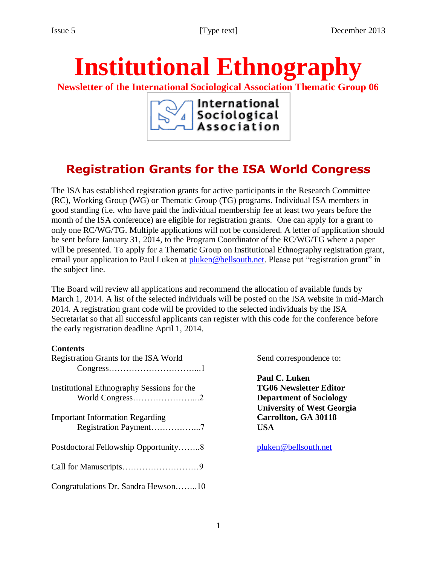# **Institutional Ethnography**

**Newsletter of the International Sociological Association Thematic Group 06**

International Sociological<br>Association

# **Registration Grants for the ISA World Congress**

The ISA has established registration grants for active participants in the Research Committee (RC), Working Group (WG) or Thematic Group (TG) programs. Individual ISA members in good standing (i.e. who have paid the individual membership fee at least two years before the month of the ISA conference) are eligible for registration grants. One can apply for a grant to only one RC/WG/TG. Multiple applications will not be considered. A letter of application should be sent before January 31, 2014, to the Program Coordinator of the RC/WG/TG where a paper will be presented. To apply for a Thematic Group on Institutional Ethnography registration grant, email your application to Paul Luken at [pluken@bellsouth.net.](mailto:pluken@bellsouth.net) Please put "registration grant" in the subject line.

The Board will review all applications and recommend the allocation of available funds by March 1, 2014. A list of the selected individuals will be posted on the ISA website in mid-March 2014. A registration grant code will be provided to the selected individuals by the ISA Secretariat so that all successful applicants can register with this code for the conference before the early registration deadline April 1, 2014.

#### **Contents**

| Registration Grants for the ISA World                           |
|-----------------------------------------------------------------|
| Institutional Ethnography Sessions for the<br>World Congress2   |
| <b>Important Information Regarding</b><br>Registration Payment7 |
| Postdoctoral Fellowship Opportunity8                            |
|                                                                 |
| Congratulations Dr. Sandra Hewson10                             |

Send correspondence to:

**Paul C. Luken TG06 Newsletter Editor Department of Sociology University of West Georgia Carrollton, GA 30118 USA**

[pluken@bellsouth.net](mailto:pluken@bellsouth.net)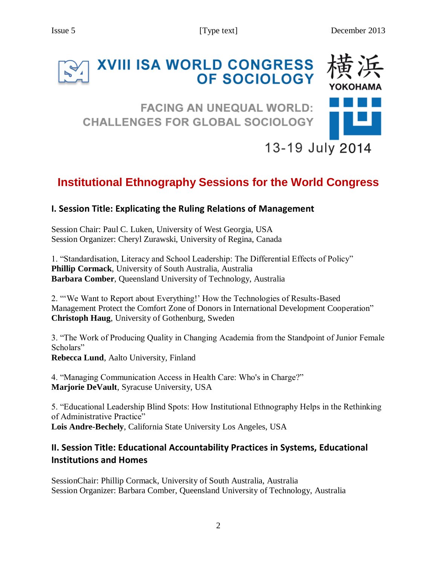# **XVIII ISA WORLD CONGRESS** OF SOCIOLOGY

## **FACING AN UNEQUAL WORLD: CHALLENGES FOR GLOBAL SOCIOLOGY**



13-19 July 2014

# **Institutional Ethnography Sessions for the World Congress**

#### **I. Session Title: Explicating the Ruling Relations of Management**

Session Chair: Paul C. Luken, University of West Georgia, USA Session Organizer: Cheryl Zurawski, University of Regina, Canada

1. "Standardisation, Literacy and School Leadership: The Differential Effects of Policy" **Phillip Cormack**, University of South Australia, Australia **Barbara Comber**, Queensland University of Technology, Australia

2. "'We Want to Report about Everything!' How the Technologies of Results-Based Management Protect the Comfort Zone of Donors in International Development Cooperation" **Christoph Haug**, University of Gothenburg, Sweden

3. "The Work of Producing Quality in Changing Academia from the Standpoint of Junior Female Scholars"

**Rebecca Lund**, Aalto University, Finland

4. "Managing Communication Access in Health Care: Who's in Charge?" **Marjorie DeVault**, Syracuse University, USA

5. "Educational Leadership Blind Spots: How Institutional Ethnography Helps in the Rethinking of Administrative Practice" **Lois Andre-Bechely**, California State University Los Angeles, USA

#### **II. Session Title: Educational Accountability Practices in Systems, Educational Institutions and Homes**

SessionChair: Phillip Cormack, University of South Australia, Australia Session Organizer: Barbara Comber, Queensland University of Technology, Australia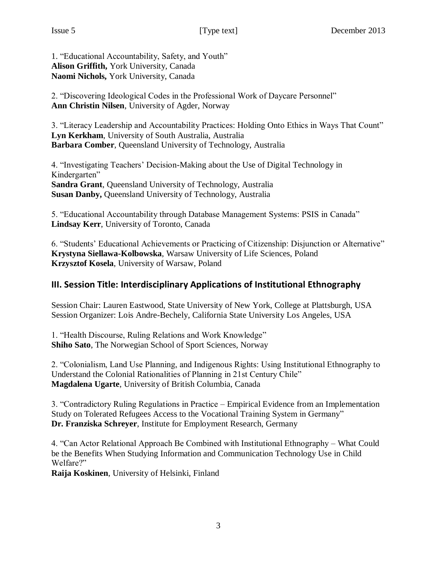1. "Educational Accountability, Safety, and Youth" **Alison Griffith,** York University, Canada **Naomi Nichols,** York University, Canada

2. "Discovering Ideological Codes in the Professional Work of Daycare Personnel" **Ann Christin Nilsen**, University of Agder, Norway

3. "Literacy Leadership and Accountability Practices: Holding Onto Ethics in Ways That Count" **Lyn Kerkham**, University of South Australia, Australia **Barbara Comber**, Queensland University of Technology, Australia

4. "Investigating Teachers' Decision-Making about the Use of Digital Technology in Kindergarten" **Sandra Grant**, Queensland University of Technology, Australia **Susan Danby,** Queensland University of Technology, Australia

5. "Educational Accountability through Database Management Systems: PSIS in Canada" **Lindsay Kerr**, University of Toronto, Canada

6. "Students' Educational Achievements or Practicing of Citizenship: Disjunction or Alternative" **Krystyna Siellawa-Kolbowska**, Warsaw University of Life Sciences, Poland **Krzysztof Kosela**, University of Warsaw, Poland

#### **III. Session Title: Interdisciplinary Applications of Institutional Ethnography**

Session Chair: Lauren Eastwood, State University of New York, College at Plattsburgh, USA Session Organizer: Lois Andre-Bechely, California State University Los Angeles, USA

1. "Health Discourse, Ruling Relations and Work Knowledge" **Shiho Sato**, The Norwegian School of Sport Sciences, Norway

2. "Colonialism, Land Use Planning, and Indigenous Rights: Using Institutional Ethnography to Understand the Colonial Rationalities of Planning in 21st Century Chile" **Magdalena Ugarte**, University of British Columbia, Canada

3. "Contradictory Ruling Regulations in Practice – Empirical Evidence from an Implementation Study on Tolerated Refugees Access to the Vocational Training System in Germany" **Dr. Franziska Schreyer**, Institute for Employment Research, Germany

4. "Can Actor Relational Approach Be Combined with Institutional Ethnography – What Could be the Benefits When Studying Information and Communication Technology Use in Child Welfare?"

**Raija Koskinen**, University of Helsinki, Finland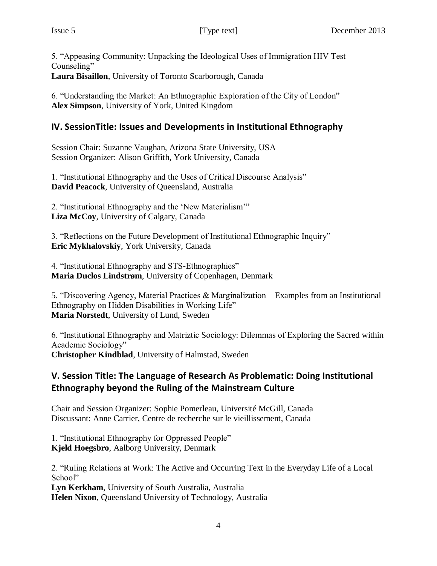5. "Appeasing Community: Unpacking the Ideological Uses of Immigration HIV Test Counseling" **Laura Bisaillon**, University of Toronto Scarborough, Canada

6. "Understanding the Market: An Ethnographic Exploration of the City of London" **Alex Simpson**, University of York, United Kingdom

#### **IV. SessionTitle: Issues and Developments in Institutional Ethnography**

Session Chair: Suzanne Vaughan, Arizona State University, USA Session Organizer: Alison Griffith, York University, Canada

1. "Institutional Ethnography and the Uses of Critical Discourse Analysis" **David Peacock**, University of Queensland, Australia

2. "Institutional Ethnography and the 'New Materialism'" **Liza McCoy**, University of Calgary, Canada

3. "Reflections on the Future Development of Institutional Ethnographic Inquiry" **Eric Mykhalovskiy**, York University, Canada

4. "Institutional Ethnography and STS-Ethnographies" **Maria Duclos Lindstrøm**, University of Copenhagen, Denmark

5. "Discovering Agency, Material Practices & Marginalization – Examples from an Institutional Ethnography on Hidden Disabilities in Working Life" **Maria Norstedt**, University of Lund, Sweden

6. "Institutional Ethnography and Matriztic Sociology: Dilemmas of Exploring the Sacred within Academic Sociology" **Christopher Kindblad**, University of Halmstad, Sweden

#### **V. Session Title: The Language of Research As Problematic: Doing Institutional Ethnography beyond the Ruling of the Mainstream Culture**

Chair and Session Organizer: Sophie Pomerleau, Université McGill, Canada Discussant: Anne Carrier, Centre de recherche sur le vieillissement, Canada

1. "Institutional Ethnography for Oppressed People" **Kjeld Hoegsbro**, Aalborg University, Denmark

2. "Ruling Relations at Work: The Active and Occurring Text in the Everyday Life of a Local School" **Lyn Kerkham**, University of South Australia, Australia **Helen Nixon**, Queensland University of Technology, Australia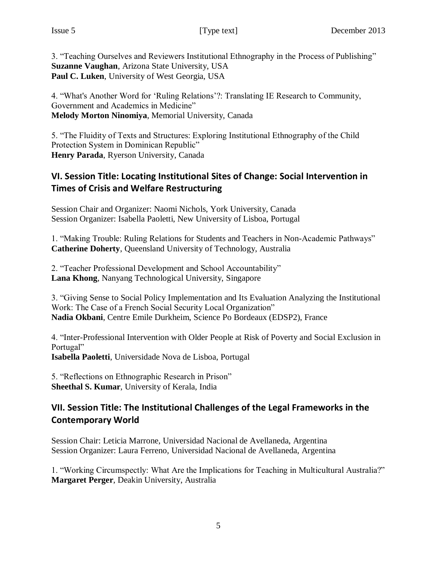3. "Teaching Ourselves and Reviewers Institutional Ethnography in the Process of Publishing" **Suzanne Vaughan**, Arizona State University, USA **Paul C. Luken**, University of West Georgia, USA

4. "What's Another Word for 'Ruling Relations'?: Translating IE Research to Community, Government and Academics in Medicine" **Melody Morton Ninomiya**, Memorial University, Canada

5. "The Fluidity of Texts and Structures: Exploring Institutional Ethnography of the Child Protection System in Dominican Republic" **Henry Parada**, Ryerson University, Canada

#### **VI. Session Title: Locating Institutional Sites of Change: Social Intervention in Times of Crisis and Welfare Restructuring**

Session Chair and Organizer: Naomi Nichols, York University, Canada Session Organizer: Isabella Paoletti, New University of Lisboa, Portugal

1. "Making Trouble: Ruling Relations for Students and Teachers in Non-Academic Pathways" **Catherine Doherty**, Queensland University of Technology, Australia

2. "Teacher Professional Development and School Accountability" **Lana Khong**, Nanyang Technological University, Singapore

3. "Giving Sense to Social Policy Implementation and Its Evaluation Analyzing the Institutional Work: The Case of a French Social Security Local Organization" **Nadia Okbani**, Centre Emile Durkheim, Science Po Bordeaux (EDSP2), France

4. "Inter-Professional Intervention with Older People at Risk of Poverty and Social Exclusion in Portugal" **Isabella Paoletti**, Universidade Nova de Lisboa, Portugal

5. "Reflections on Ethnographic Research in Prison" **Sheethal S. Kumar**, University of Kerala, India

#### **VII. Session Title: The Institutional Challenges of the Legal Frameworks in the Contemporary World**

Session Chair: Leticia Marrone, Universidad Nacional de Avellaneda, Argentina Session Organizer: Laura Ferreno, Universidad Nacional de Avellaneda, Argentina

1. "Working Circumspectly: What Are the Implications for Teaching in Multicultural Australia?" **Margaret Perger**, Deakin University, Australia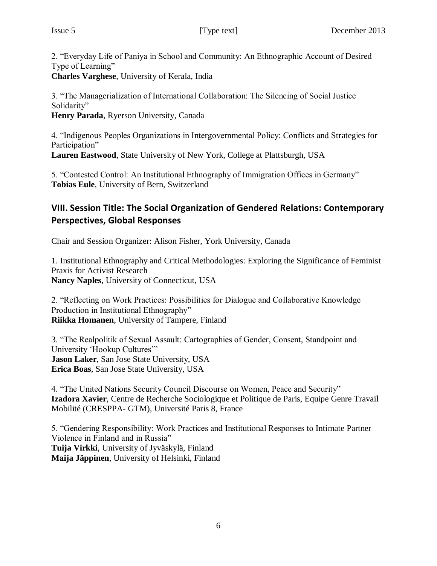2. "Everyday Life of Paniya in School and Community: An Ethnographic Account of Desired Type of Learning"

**Charles Varghese**, University of Kerala, India

3. "The Managerialization of International Collaboration: The Silencing of Social Justice Solidarity"

**Henry Parada**, Ryerson University, Canada

4. "Indigenous Peoples Organizations in Intergovernmental Policy: Conflicts and Strategies for Participation"

**Lauren Eastwood**, State University of New York, College at Plattsburgh, USA

5. "Contested Control: An Institutional Ethnography of Immigration Offices in Germany" **Tobias Eule**, University of Bern, Switzerland

### **VIII. Session Title: The Social Organization of Gendered Relations: Contemporary Perspectives, Global Responses**

Chair and Session Organizer: Alison Fisher, York University, Canada

1. Institutional Ethnography and Critical Methodologies: Exploring the Significance of Feminist Praxis for Activist Research **Nancy Naples**, University of Connecticut, USA

2. "Reflecting on Work Practices: Possibilities for Dialogue and Collaborative Knowledge Production in Institutional Ethnography" **Riikka Homanen**, University of Tampere, Finland

3. "The Realpolitik of Sexual Assault: Cartographies of Gender, Consent, Standpoint and University 'Hookup Cultures'" **Jason Laker**, San Jose State University, USA **Erica Boas**, San Jose State University, USA

4. "The United Nations Security Council Discourse on Women, Peace and Security" **Izadora Xavier**, Centre de Recherche Sociologique et Politique de Paris, Equipe Genre Travail Mobilité (CRESPPA- GTM), Université Paris 8, France

5. "Gendering Responsibility: Work Practices and Institutional Responses to Intimate Partner Violence in Finland and in Russia" **Tuija Virkki**, University of Jyväskylä, Finland **Maija Jäppinen**, University of Helsinki, Finland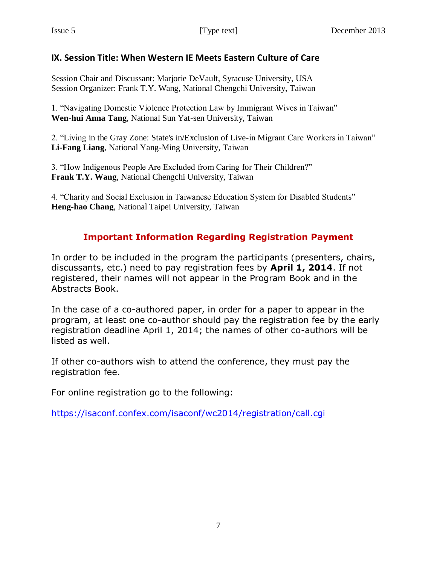#### **IX. Session Title: When Western IE Meets Eastern Culture of Care**

Session Chair and Discussant: Marjorie DeVault, Syracuse University, USA Session Organizer: Frank T.Y. Wang, National Chengchi University, Taiwan

1. "Navigating Domestic Violence Protection Law by Immigrant Wives in Taiwan" **Wen-hui Anna Tang**, National Sun Yat-sen University, Taiwan

2. "Living in the Gray Zone: State's in/Exclusion of Live-in Migrant Care Workers in Taiwan" **Li-Fang Liang**, National Yang-Ming University, Taiwan

3. "How Indigenous People Are Excluded from Caring for Their Children?" **Frank T.Y. Wang**, National Chengchi University, Taiwan

4. "Charity and Social Exclusion in Taiwanese Education System for Disabled Students" **Heng-hao Chang**, National Taipei University, Taiwan

## **Important Information Regarding Registration Payment**

In order to be included in the program the participants (presenters, chairs, discussants, etc.) need to pay registration fees by **April 1, 2014**. If not registered, their names will not appear in the Program Book and in the Abstracts Book.

In the case of a co-authored paper, in order for a paper to appear in the program, at least one co-author should pay the registration fee by the early registration deadline April 1, 2014; the names of other co-authors will be listed as well.

If other co-authors wish to attend the conference, they must pay the registration fee.

For online registration go to the following:

<https://isaconf.confex.com/isaconf/wc2014/registration/call.cgi>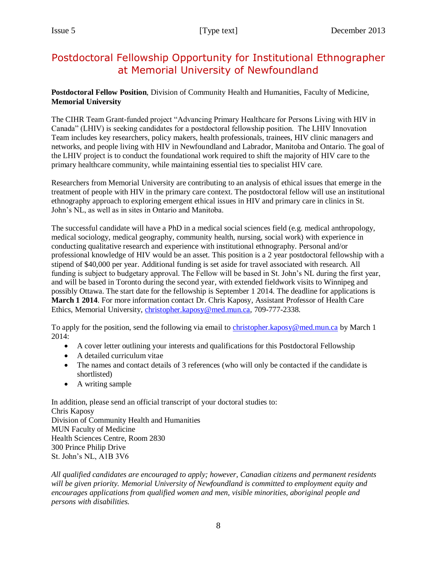## Postdoctoral Fellowship Opportunity for Institutional Ethnographer at Memorial University of Newfoundland

#### **Postdoctoral Fellow Position**, Division of Community Health and Humanities, Faculty of Medicine, **Memorial University**

The CIHR Team Grant-funded project "Advancing Primary Healthcare for Persons Living with HIV in Canada" (LHIV) is seeking candidates for a postdoctoral fellowship position. The LHIV Innovation Team includes key researchers, policy makers, health professionals, trainees, HIV clinic managers and networks, and people living with HIV in Newfoundland and Labrador, Manitoba and Ontario. The goal of the LHIV project is to conduct the foundational work required to shift the majority of HIV care to the primary healthcare community, while maintaining essential ties to specialist HIV care.

Researchers from Memorial University are contributing to an analysis of ethical issues that emerge in the treatment of people with HIV in the primary care context. The postdoctoral fellow will use an institutional ethnography approach to exploring emergent ethical issues in HIV and primary care in clinics in St. John's NL, as well as in sites in Ontario and Manitoba.

The successful candidate will have a PhD in a medical social sciences field (e.g. medical anthropology, medical sociology, medical geography, community health, nursing, social work) with experience in conducting qualitative research and experience with institutional ethnography. Personal and/or professional knowledge of HIV would be an asset. This position is a 2 year postdoctoral fellowship with a stipend of \$40,000 per year. Additional funding is set aside for travel associated with research. All funding is subject to budgetary approval. The Fellow will be based in St. John's NL during the first year, and will be based in Toronto during the second year, with extended fieldwork visits to Winnipeg and possibly Ottawa. The start date for the fellowship is September 1 2014. The deadline for applications is **March 1 2014**. For more information contact Dr. Chris Kaposy, Assistant Professor of Health Care Ethics, Memorial University, [christopher.kaposy@med.mun.ca,](mailto:christopher.kaposy@med.mun.ca) 709-777-2338.

To apply for the position, send the following via email to [christopher.kaposy@med.mun.ca](mailto:christopher.kaposy@med.mun.ca) by March 1 2014:

- A cover letter outlining your interests and qualifications for this Postdoctoral Fellowship
- A detailed curriculum vitae
- The names and contact details of 3 references (who will only be contacted if the candidate is shortlisted)
- A writing sample

In addition, please send an official transcript of your doctoral studies to: Chris Kaposy Division of Community Health and Humanities MUN Faculty of Medicine Health Sciences Centre, Room 2830 300 Prince Philip Drive St. John's NL, A1B 3V6

*All qualified candidates are encouraged to apply; however, Canadian citizens and permanent residents will be given priority. Memorial University of Newfoundland is committed to employment equity and encourages applications from qualified women and men, visible minorities, aboriginal people and persons with disabilities.*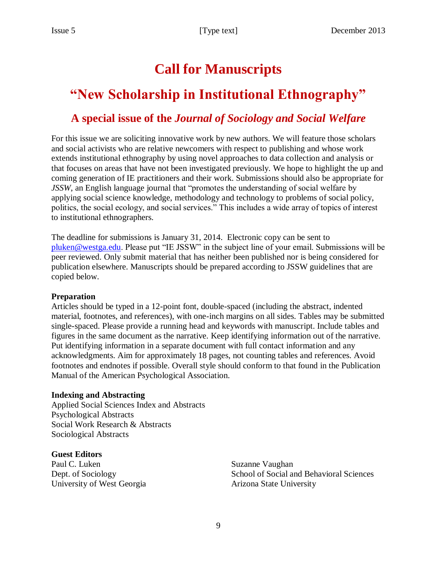# **Call for Manuscripts**

# **"New Scholarship in Institutional Ethnography"**

## **A special issue of the** *Journal of Sociology and Social Welfare*

For this issue we are soliciting innovative work by new authors. We will feature those scholars and social activists who are relative newcomers with respect to publishing and whose work extends institutional ethnography by using novel approaches to data collection and analysis or that focuses on areas that have not been investigated previously. We hope to highlight the up and coming generation of IE practitioners and their work. Submissions should also be appropriate for *JSSW*, an English language journal that "promotes the understanding of social welfare by applying social science knowledge, methodology and technology to problems of social policy, politics, the social ecology, and social services." This includes a wide array of topics of interest to institutional ethnographers.

The deadline for submissions is January 31, 2014. Electronic copy can be sent to [pluken@westga.edu.](mailto:pluken@westga.edu) Please put "IE JSSW" in the subject line of your email. Submissions will be peer reviewed. Only submit material that has neither been published nor is being considered for publication elsewhere. Manuscripts should be prepared according to JSSW guidelines that are copied below.

#### **Preparation**

Articles should be typed in a 12-point font, double-spaced (including the abstract, indented material, footnotes, and references), with one-inch margins on all sides. Tables may be submitted single-spaced. Please provide a running head and keywords with manuscript. Include tables and figures in the same document as the narrative. Keep identifying information out of the narrative. Put identifying information in a separate document with full contact information and any acknowledgments. Aim for approximately 18 pages, not counting tables and references. Avoid footnotes and endnotes if possible. Overall style should conform to that found in the Publication Manual of the American Psychological Association.

#### **Indexing and Abstracting**

Applied Social Sciences Index and Abstracts Psychological Abstracts Social Work Research & Abstracts Sociological Abstracts

#### **Guest Editors**

Paul C. Luken Dept. of Sociology University of West Georgia Suzanne Vaughan School of Social and Behavioral Sciences Arizona State University